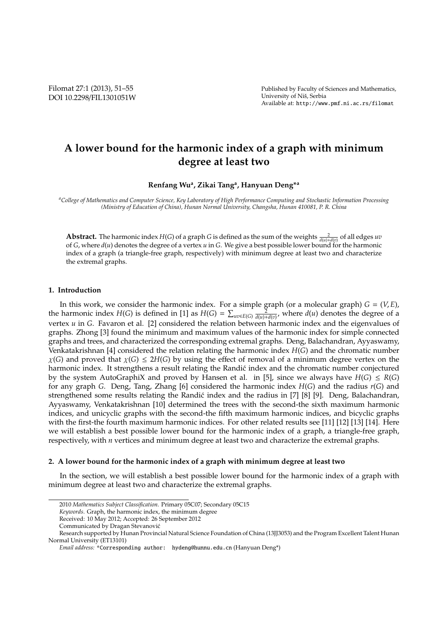Filomat 27:1 (2013), 51–55 DOI 10.2298/FIL1301051W

# **A lower bound for the harmonic index of a graph with minimum degree at least two**

**Renfang Wu<sup>a</sup> , Zikai Tang<sup>a</sup> , Hanyuan Deng\*<sup>a</sup>**

*<sup>a</sup>College of Mathematics and Computer Science, Key Laboratory of High Performance Computing and Stochastic Information Processing (Ministry of Education of China), Hunan Normal University, Changsha, Hunan 410081, P. R. China*

**Abstract.** The harmonic index  $H(G)$  of a graph *G* is defined as the sum of the weights  $\frac{2}{d(u)+d(v)}$  of all edges *uv* of *G*, where *d*(*u*) denotes the degree of a vertex *u* in *G*. We give a best possible lower bound for the harmonic index of a graph (a triangle-free graph, respectively) with minimum degree at least two and characterize the extremal graphs.

## **1. Introduction**

In this work, we consider the harmonic index. For a simple graph (or a molecular graph)  $G = (V, E)$ , the harmonic index *H*(*G*) is defined in [1] as *H*(*G*) =  $\sum_{uv\in E(G)} \frac{2}{d(u)+d(v)}$ , where *d*(*u*) denotes the degree of a vertex *u* in *G*. Favaron et al. [2] considered the relation between harmonic index and the eigenvalues of graphs. Zhong [3] found the minimum and maximum values of the harmonic index for simple connected graphs and trees, and characterized the corresponding extremal graphs. Deng, Balachandran, Ayyaswamy, Venkatakrishnan [4] considered the relation relating the harmonic index *H*(*G*) and the chromatic number  $\chi(G)$  and proved that  $\chi(G) \leq 2H(G)$  by using the effect of removal of a minimum degree vertex on the harmonic index. It strengthens a result relating the Randic index and the chromatic number conjectured by the system AutoGraphiX and proved by Hansen et al. in [5], since we always have  $H(G) \leq R(G)$ for any graph *G*. Deng, Tang, Zhang [6] considered the harmonic index *H*(*G*) and the radius *r*(*G*) and strengthened some results relating the Randic index and the radius in [7] [8] [9]. Deng, Balachandran, ´ Ayyaswamy, Venkatakrishnan [10] determined the trees with the second-the sixth maximum harmonic indices, and unicyclic graphs with the second-the fifth maximum harmonic indices, and bicyclic graphs with the first-the fourth maximum harmonic indices. For other related results see [11] [12] [13] [14]. Here we will establish a best possible lower bound for the harmonic index of a graph, a triangle-free graph, respectively, with *n* vertices and minimum degree at least two and characterize the extremal graphs.

### **2. A lower bound for the harmonic index of a graph with minimum degree at least two**

In the section, we will establish a best possible lower bound for the harmonic index of a graph with minimum degree at least two and characterize the extremal graphs.

<sup>2010</sup> *Mathematics Subject Classification*. Primary 05C07; Secondary 05C15

*Keywords*. Graph, the harmonic index, the minimum degree

Received: 10 May 2012; Accepted: 26 September 2012

Communicated by Dragan Stevanovic´

Research supported by Hunan Provincial Natural Science Foundation of China (13JJ3053) and the Program Excellent Talent Hunan Normal University (ET13101)

*Email address:* \*Corresponding author: hydeng@hunnu.edu.cn (Hanyuan Deng\*)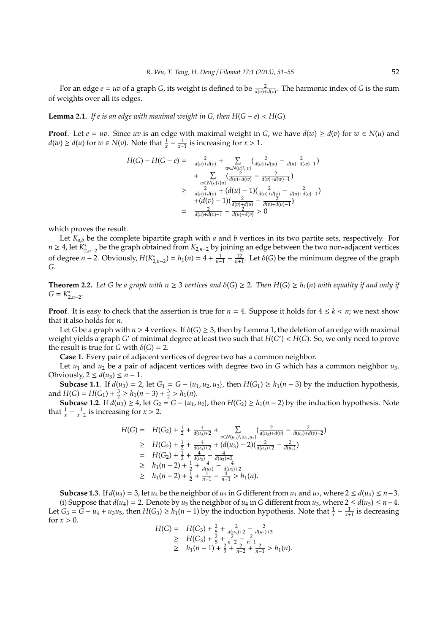For an edge  $e = uv$  of a graph *G*, its weight is defined to be  $\frac{2}{d(u)+d(v)}$ . The harmonic index of *G* is the sum of weights over all its edges.

**Lemma 2.1.** *If e is an edge with maximal weight in G, then*  $H(G - e) < H(G)$ *.* 

**Proof**. Let *e* = *uv*. Since *uv* is an edge with maximal weight in *G*, we have  $d(w) \ge d(v)$  for  $w \in N(u)$  and *d*(*w*) ≥ *d*(*u*) for *w* ∈ *N*(*v*). Note that  $\frac{1}{x} - \frac{1}{x-1}$  is increasing for *x* > 1.

$$
H(G) - H(G - e) = \frac{2}{d(u) + d(v)} + \sum_{w \in N(u) \setminus \{v\}} (\frac{2}{d(u) + d(w)} - \frac{2}{d(u) + d(w) - 1})
$$
  
+ 
$$
\sum_{w \in N(v) \setminus \{u\}} (\frac{2}{d(v) + d(w)} - \frac{2}{d(v) + d(w) - 1})
$$
  

$$
\geq \frac{2}{d(u) + d(v)} + (d(u) - 1)(\frac{2}{d(u) + d(v)} - \frac{2}{d(u) + d(v) - 1})
$$
  
= 
$$
\frac{2}{d(u) + d(v) - 1} - \frac{2}{d(v) + d(u) - 1}
$$

which proves the result.

Let *Ka*,*<sup>b</sup>* be the complete bipartite graph with *a* and *b* vertices in its two partite sets, respectively. For *n* ≥ 4, let  $K_{2,n-2}$  be the graph obtained from  $K_{2,n-2}$  by joining an edge between the two non-adjacent vertices of degree *n* − 2. Obviously,  $H(K_{2,n-2}^*) = h_1(n) = 4 + \frac{1}{n-1} - \frac{12}{n+1}$ . Let δ(*G*) be the minimum degree of the graph *G*.

**Theorem 2.2.** Let G be a graph with  $n \geq 3$  vertices and  $\delta(G) \geq 2$ . Then  $H(G) \geq h_1(n)$  with equality if and only if  $G = K^*_{2,n-2}$ .

**Proof.** It is easy to check that the assertion is true for  $n = 4$ . Suppose it holds for  $4 \leq k \leq n$ ; we next show that it also holds for *n*.

Let *G* be a graph with  $n > 4$  vertices. If  $\delta(G) \geq 3$ , then by Lemma 1, the deletion of an edge with maximal weight yields a graph *G* ′ of minimal degree at least two such that *H*(*G* ′ ) < *H*(*G*). So, we only need to prove the result is true for *G* with  $\delta(G) = 2$ .

**Case 1**. Every pair of adjacent vertices of degree two has a common neighbor.

Let  $u_1$  and  $u_2$  be a pair of adjacent vertices with degree two in *G* which has a common neighbor  $u_3$ . Obviously,  $2 \leq d(u_3) \leq n-1$ .

**Subcase 1.1**. If *d*(*u*<sub>3</sub>) = 2, let *G*<sub>1</sub> = *G* − {*u*<sub>1</sub>, *u*<sub>2</sub>, *u*<sub>3</sub>}, then *H*(*G*<sub>1</sub>) ≥ *h*<sub>1</sub>(*n* − 3) by the induction hypothesis, and  $H(G) = H(G_1) + \frac{3}{2} \ge h_1(n-3) + \frac{3}{2} > h_1(n)$ .

**Subcase 1.2**. If  $d(u_3) \geq 4$ , let  $G_2 = G - \{u_1, u_2\}$ , then  $H(G_2) \geq h_1(n-2)$  by the induction hypothesis. Note that  $\frac{1}{x} - \frac{1}{x-2}$  is increasing for *x* > 2.

$$
H(G) = H(G_2) + \frac{1}{2} + \frac{4}{d(u_3)+2} + \sum_{v \in N(u_3) \setminus \{u_1, u_2\}} (\frac{2}{d(u_3)+d(v)} - \frac{2}{d(u_3)+d(v)-2})
$$
  
\n
$$
\geq H(G_2) + \frac{1}{2} + \frac{4}{d(u_3)+2} + (d(u_3) - 2)(\frac{2}{d(u_3)+2} - \frac{2}{d(u_3)})
$$
  
\n
$$
= H(G_2) + \frac{1}{2} + \frac{4}{d(u_3)} - \frac{4}{d(u_3)+2}
$$
  
\n
$$
\geq h_1(n-2) + \frac{1}{2} + \frac{4}{d(u_3)} - \frac{4}{d(u_3)+2}
$$
  
\n
$$
\geq h_1(n-2) + \frac{1}{2} + \frac{4}{n-1} - \frac{4}{n+1} > h_1(n).
$$

**Subcase 1.3**. If  $d(u_3) = 3$ , let  $u_4$  be the neighbor of  $u_3$  in *G* different from  $u_1$  and  $u_2$ , where  $2 \le d(u_4) \le n-3$ . (i) Suppose that  $d(u_4) = 2$ . Denote by  $u_5$  the neighbor of  $u_4$  in *G* different from  $u_3$ , where  $2 ≤ d(u_5) ≤ n-4$ . Let  $G_3 = G - u_4 + u_3 u_5$ , then  $H(G_3) \ge h_1(n-1)$  by the induction hypothesis. Note that  $\frac{1}{x} - \frac{1}{x+1}$  is decreasing for  $x > 0$ .

$$
H(G) = H(G_3) + \frac{2}{5} + \frac{2}{d(u_3)+2} - \frac{2}{d(u_3)+3}
$$
  
\n
$$
\geq H(G_3) + \frac{2}{5} + \frac{2}{n-2} - \frac{2}{n-1}
$$
  
\n
$$
\geq h_1(n-1) + \frac{2}{5} + \frac{2}{n-2} + \frac{2}{n-1} > h_1(n).
$$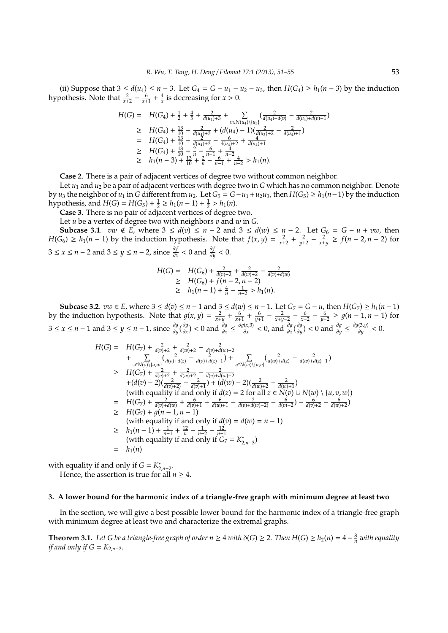(ii) Suppose that  $3 ≤ d(u_4) ≤ n - 3$ . Let  $G_4 = G - u_1 - u_2 - u_3$ , then  $H(G_4) ≥ h_1(n - 3)$  by the induction hypothesis. Note that  $\frac{2}{x+2} - \frac{6}{x+1} + \frac{4}{x}$  is decreasing for  $x > 0$ .

$$
H(G) = H(G_4) + \frac{1}{2} + \frac{4}{5} + \frac{2}{d(u_4) + 3} + \sum_{v \in N(u_4) \setminus \{u_3\}} (\frac{2}{d(u_4) + d(v)} - \frac{2}{d(u_4) + d(v) - 1})
$$
  
\n
$$
\geq H(G_4) + \frac{13}{10} + \frac{2}{d(u_4) + 3} + (d(u_4) - 1)(\frac{2}{d(u_3) + 2} - \frac{2}{d(u_4) + 1})
$$
  
\n
$$
= H(G_4) + \frac{13}{10} + \frac{2}{d(u_4) + 3} - \frac{6}{d(u_4) + 2} + \frac{4}{d(u_4) + 1}
$$
  
\n
$$
\geq H(G_4) + \frac{13}{10} + \frac{2}{n} - \frac{6}{n-1} + \frac{4}{n-2}
$$
  
\n
$$
\geq h_1(n-3) + \frac{13}{10} + \frac{2}{n} - \frac{6}{n-1} + \frac{4}{n-2} > h_1(n).
$$

**Case 2**. There is a pair of adjacent vertices of degree two without common neighbor.

Let *u*<sup>1</sup> and *u*<sup>2</sup> be a pair of adjacent vertices with degree two in *G* which has no common neighbor. Denote by *u*<sub>3</sub> the neighbor of  $u_1$  in *G* different from  $u_2$ . Let  $G_5 = G - u_1 + u_2u_3$ , then  $H(G_5) ≥ h_1(n-1)$  by the induction hypothesis, and  $H(G) = H(G_5) + \frac{1}{2} \ge h_1(n-1) + \frac{1}{2} > h_1(n)$ .

**Case 3**. There is no pair of adjacent vertices of degree two.

Let *u* be a vertex of degree two with neighbors *v* and *w* in *G*. **Subcase 3.1**. *vw* ∉ *E*, where  $3 \le d(v) \le n - 2$  and  $3 \le d(w) \le n - 2$ . Let  $G_6 = G - u + vw$ , then *H*(*G*<sub>6</sub>) ≥ *h*<sub>1</sub>(*n* − 1) by the induction hypothesis. Note that  $f(x, y) = \frac{2}{x+2} + \frac{2}{y+2} - \frac{2}{x+y} \ge f(n-2, n-2)$  for  $3 \le x \le n - 2$  and  $3 \le y \le n - 2$ , since  $\frac{\partial f}{\partial x} < 0$  and  $\frac{\partial f}{\partial y} < 0$ .

$$
H(G) = H(G_6) + \frac{2}{d(v)+2} + \frac{2}{d(w)+2} - \frac{2}{d(v)+d(w)}
$$
  
\n
$$
\geq H(G_6) + f(n-2, n-2)
$$
  
\n
$$
\geq h_1(n-1) + \frac{4}{n} - \frac{1}{n-2} > h_1(n).
$$

**Subcase 3.2**.  $vw \in E$ , where  $3 \le d(v) \le n - 1$  and  $3 \le d(w) \le n - 1$ . Let  $G_7 = G - u$ , then  $H(G_7) \ge h_1(n - 1)$ by the induction hypothesis. Note that  $g(x, y) = \frac{2}{x+y} + \frac{6}{x+1} + \frac{6}{y+1} - \frac{2}{x+y-2} - \frac{6}{x+2} - \frac{6}{y+2} \ge g(n-1, n-1)$  for 3 ≤ *x* ≤ *n* − 1 and 3 ≤ *y* ≤ *n* − 1, since  $\frac{\partial g}{\partial y}$  ( $\frac{\partial g}{\partial x}$  $\frac{\partial g}{\partial x}$ ) < 0 and  $\frac{\partial g}{\partial x} \leq \frac{\partial g(x,3)}{\partial x}$ *′(x,3)* < 0*,* and  $\frac{\partial g}{\partial x}$  ( $\frac{\partial g}{\partial y}$  $\frac{\partial g}{\partial y}$ ) < 0 and  $\frac{\partial g}{\partial y} \leq \frac{\partial g(3,y)}{\partial y}$  $\frac{\partial y}{\partial y}$  < 0.

$$
H(G) = H(G_7) + \frac{2}{d(v)+2} + \frac{2}{d(v)+4} - \frac{2}{d(v)+d(v)-2}
$$
  
+ 
$$
\sum_{z \in N(v) \setminus \{u,w\}} (\frac{2}{d(v)+d(z)} - \frac{2}{d(v)+d(z)-1}) + \sum_{z \in N(w) \setminus \{u,v\}} (\frac{2}{d(w)+d(z)} - \frac{2}{d(w)+d(z)-1})
$$
  

$$
\geq H(G_7) + \frac{2}{d(v)+2} + \frac{2}{d(w)+2} - \frac{2}{d(v)+d(w)-2}
$$
  
+ 
$$
(d(v) - 2)(\frac{2}{d(v)+2} - \frac{2}{d(v)+1}) + (d(w) - 2)(\frac{2}{d(w)+2} - \frac{2}{d(w)+1})
$$
  
(with equality if and only if  $d(z) = 2$  for all  $z \in N(v) \cup N(w) \setminus \{u, v, w\}$ )  

$$
= H(G_7) + \frac{2}{d(v)+d(w)} + \frac{6}{d(v)+1} + \frac{6}{d(w)+1} - \frac{2}{d(v)+d(w)-2} - \frac{6}{d(v)+2} - \frac{6}{d(w)+2})
$$
  

$$
\geq H(G_7) + g(n-1, n-1)
$$
  
(with equality if and only if  $d(v) = d(w) = n-1$ )  

$$
\geq h_1(n-1) + \frac{1}{n-1} + \frac{12}{n} - \frac{1}{n-2} - \frac{12}{n+1}
$$
  
(with equality if and only if  $G_7 = K_{2,n-3}^*$ )  

$$
= h_1(n)
$$

with equality if and only if  $G = K^*_{2,n-2}$ . Hence, the assertion is true for all  $n \geq 4$ .

#### **3. A lower bound for the harmonic index of a triangle-free graph with minimum degree at least two**

In the section, we will give a best possible lower bound for the harmonic index of a triangle-free graph with minimum degree at least two and characterize the extremal graphs.

**Theorem 3.1.** Let G be a triangle-free graph of order  $n \geq 4$  with  $\delta(G) \geq 2$ . Then  $H(G) \geq h_2(n) = 4 - \frac{8}{n}$  with equality *if and only if*  $G = K_{2,n-2}$ *.*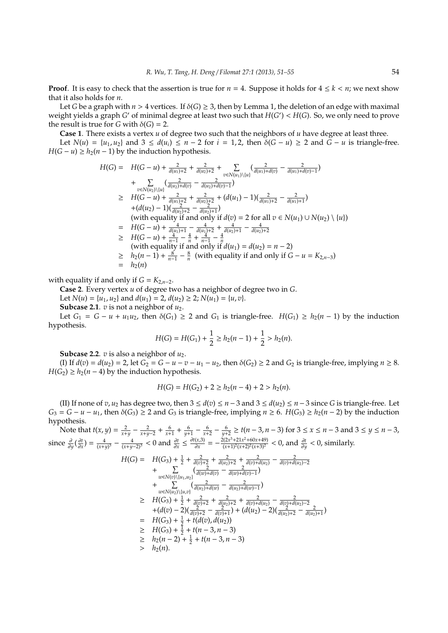**Proof.** It is easy to check that the assertion is true for  $n = 4$ . Suppose it holds for  $4 \leq k \leq n$ ; we next show that it also holds for *n*.

Let *G* be a graph with  $n > 4$  vertices. If  $\delta(G) \geq 3$ , then by Lemma 1, the deletion of an edge with maximal weight yields a graph *G* ′ of minimal degree at least two such that *H*(*G* ′ ) < *H*(*G*). So, we only need to prove the result is true for *G* with  $\delta(G) = 2$ .

**Case 1**. There exists a vertex *u* of degree two such that the neighbors of *u* have degree at least three.

Let *N*(*u*) = {*u*<sub>1</sub>, *u*<sub>2</sub>} and 3 ≤ *d*(*u*<sub>*i*</sub>) ≤ *n* − 2 for *i* = 1, 2, then  $\delta(G - u) \ge 2$  and  $G - u$  is triangle-free. *H*( $G - u$ ) ≥ *h*<sub>2</sub>( $n - 1$ ) by the induction hypothesis.

$$
H(G) = H(G - u) + \frac{2}{d(u_1) + 2} + \frac{2}{d(u_2) + 2} + \sum_{v \in N(u_1) \setminus \{u\}} (\frac{2}{d(u_1) + d(v)} - \frac{2}{d(u_1) + d(v) - 1})
$$
  
+ 
$$
\sum_{v \in N(u_2) \setminus \{u\}} (\frac{2}{d(u_2) + d(v)} - \frac{2}{d(u_2) + d(v) - 1})
$$
  

$$
\geq H(G - u) + \frac{2}{d(u_1) + 2} + \frac{2}{d(u_2) + 2} + (d(u_1) - 1)(\frac{2}{d(u_1) + 2} - \frac{2}{d(u_1) + 1})
$$
  
+ 
$$
(d(u_2) - 1)(\frac{2}{d(u_2) + 2} - \frac{2}{d(u_2) + 1})
$$
  
(with equality if and only if  $d(v) = 2$  for all  $v \in N(u_1) \cup N(u_2) \setminus \{u\})$   

$$
= H(G - u) + \frac{4}{d(u_1) + 1} - \frac{4}{d(u_1) + 2} + \frac{4}{d(u_2) + 1} - \frac{4}{d(u_2) + 2}
$$
  

$$
\geq H(G - u) + \frac{4}{n - 1} - \frac{4}{n} + \frac{4}{n - 1} - \frac{4}{n}
$$
  
(with equality if and only if  $d(u_1) = d(u_2) = n - 2)$   

$$
\geq h_2(n - 1) + \frac{8}{n - 1} - \frac{8}{n}
$$
 (with equality if and only if  $G - u = K_{2,n-3}$ )  

$$
= h_2(n)
$$

with equality if and only if  $G = K_{2,n-2}$ .

**Case 2**. Every vertex *u* of degree two has a neighbor of degree two in *G*.

Let  $N(u) = \{u_1, u_2\}$  and  $d(u_1) = 2$ ,  $d(u_2) \geq 2$ ;  $N(u_1) = \{u, v\}$ .

**Subcase 2.1**.  $v$  is not a neighbor of  $u_2$ .

Let *G*<sub>1</sub> = *G* − *u* + *u*<sub>1</sub>*u*<sub>2</sub>, then  $\delta$ (*G*<sub>1</sub>) ≥ 2 and *G*<sub>1</sub> is triangle-free. *H*(*G*<sub>1</sub>) ≥ *h*<sub>2</sub>(*n* − 1) by the induction hypothesis.

$$
H(G) = H(G_1) + \frac{1}{2} \ge h_2(n-1) + \frac{1}{2} > h_2(n).
$$

**Subcase 2.2**.  $v$  is also a neighbor of  $u_2$ .

(I) If  $d(v) = d(u_2) = 2$ , let  $G_2 = G - u - v - u_1 - u_2$ , then  $\delta(G_2) \ge 2$  and  $G_2$  is triangle-free, implying  $n \ge 8$ .  $H(G_2) \geq h_2(n-4)$  by the induction hypothesis.

$$
H(G) = H(G_2) + 2 \ge h_2(n-4) + 2 > h_2(n).
$$

(II) If none of *v*, *u*<sub>2</sub> has degree two, then  $3 ≤ d(v) ≤ n-3$  and  $3 ≤ d(u_2) ≤ n-3$  since *G* is triangle-free. Let *G*<sub>3</sub> = *G* − *u* − *u*<sub>1</sub>, then  $\delta$ (*G*<sub>3</sub>) ≥ 2 and *G*<sub>3</sub> is triangle-free, implying *n* ≥ 6. *H*(*G*<sub>3</sub>) ≥ *h*<sub>2</sub>(*n* − 2) by the induction hypothesis.

Note that  $t(x, y) = \frac{2}{x+y} - \frac{2}{x+y-2} + \frac{6}{x+1} + \frac{6}{y+1} - \frac{6}{x+2} - \frac{6}{y+2} \ge t(n-3, n-3)$  for  $3 \le x \le n-3$  and  $3 \le y \le n-3$ , since  $\frac{\partial}{\partial y}(\frac{\partial t}{\partial x}) = \frac{4}{(x+y)^3} - \frac{4}{(x+y-2)^3} < 0$  and  $\frac{\partial t}{\partial x} \le \frac{\partial t(x,3)}{\partial x}$  $\frac{f(x,3)}{\partial x} = -\frac{2(2x^3+21x^2+60x+49)}{(x+1)^2(x+2)^2(x+3)^2}$  $\frac{((2x^3+21x^2+60x+49)}{(x+1)^2(x+2)^2(x+3)^2}$  < 0, and  $\frac{\partial t}{\partial y}$  < 0, similarly.

$$
H(G) = H(G_3) + \frac{1}{2} + \frac{2}{d(v)+2} + \frac{2}{d(u)+2} + \frac{2}{d(v)+d(u)} - \frac{2}{d(v)+d(u)-2} + \sum_{w \in N(v)\setminus\{u_1, u_2\}} (\frac{2}{d(w)+d(v)} - \frac{2}{d(w)+d(v)-1}) + \sum_{w \in N(u_2)\setminus\{u, v\}} (\frac{2}{d(u_2)+d(w)} - \frac{2}{d(u_2)+d(w)-1}) \geq H(G_3) + \frac{1}{2} + \frac{2}{d(v)+2} + \frac{2}{d(u)+2} + \frac{2}{d(v)+d(u)} - \frac{2}{d(v)+d(u)-2} + (d(v) - 2)(\frac{2}{d(v)+2} - \frac{2}{d(v)+1}) + (d(u_2) - 2)(\frac{2}{d(u)+2} - \frac{2}{d(u)+1}) = H(G_3) + \frac{1}{2} + t(d(v), d(u_2)) \geq H(G_3) + \frac{1}{2} + t(n-3, n-3) \geq h_2(n-2) + \frac{1}{2} + t(n-3, n-3) > h_2(n).
$$